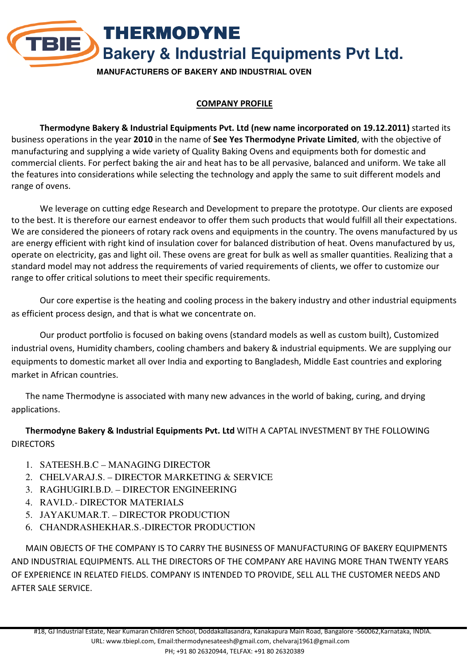THERMODYNE **TBIE Bakery & Industrial Equipments Pvt Ltd. MANUFACTURERS OF BAKERY AND INDUSTRIAL OVEN**

# COMPANY PROFILE

Thermodyne Bakery & Industrial Equipments Pvt. Ltd (new name incorporated on 19.12.2011) started its business operations in the year 2010 in the name of See Yes Thermodyne Private Limited, with the objective of manufacturing and supplying a wide variety of Quality Baking Ovens and equipments both for domestic and commercial clients. For perfect baking the air and heat has to be all pervasive, balanced and uniform. We take all the features into considerations while selecting the technology and apply the same to suit different models and range of ovens.

We leverage on cutting edge Research and Development to prepare the prototype. Our clients are exposed to the best. It is therefore our earnest endeavor to offer them such products that would fulfill all their expectations. We are considered the pioneers of rotary rack ovens and equipments in the country. The ovens manufactured by us are energy efficient with right kind of insulation cover for balanced distribution of heat. Ovens manufactured by us, operate on electricity, gas and light oil. These ovens are great for bulk as well as smaller quantities. Realizing that a standard model may not address the requirements of varied requirements of clients, we offer to customize our range to offer critical solutions to meet their specific requirements.

Our core expertise is the heating and cooling process in the bakery industry and other industrial equipments as efficient process design, and that is what we concentrate on.

Our product portfolio is focused on baking ovens (standard models as well as custom built), Customized industrial ovens, Humidity chambers, cooling chambers and bakery & industrial equipments. We are supplying our equipments to domestic market all over India and exporting to Bangladesh, Middle East countries and exploring market in African countries.

The name Thermodyne is associated with many new advances in the world of baking, curing, and drying applications.

### Thermodyne Bakery & Industrial Equipments Pvt. Ltd WITH A CAPTAL INVESTMENT BY THE FOLLOWING **DIRECTORS**

- 1. SATEESH.B.C MANAGING DIRECTOR
- 2. CHELVARAJ.S. DIRECTOR MARKETING & SERVICE
- 3. RAGHUGIRI.B.D. DIRECTOR ENGINEERING
- 4. RAVI.D.- DIRECTOR MATERIALS
- 5. JAYAKUMAR.T. DIRECTOR PRODUCTION
- 6. CHANDRASHEKHAR.S.-DIRECTOR PRODUCTION

MAIN OBJECTS OF THE COMPANY IS TO CARRY THE BUSINESS OF MANUFACTURING OF BAKERY EQUIPMENTS AND INDUSTRIAL EQUIPMENTS. ALL THE DIRECTORS OF THE COMPANY ARE HAVING MORE THAN TWENTY YEARS OF EXPERIENCE IN RELATED FIELDS. COMPANY IS INTENDED TO PROVIDE, SELL ALL THE CUSTOMER NEEDS AND AFTER SALE SERVICE.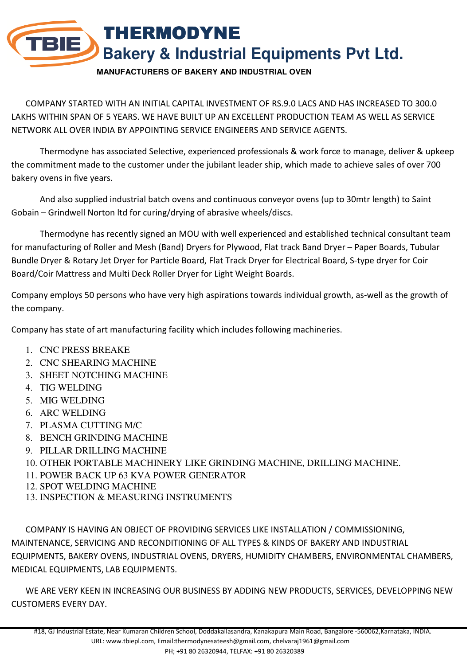# THERMODYNE **TBIE Bakery & Industrial Equipments Pvt Ltd.**

**MANUFACTURERS OF BAKERY AND INDUSTRIAL OVEN**

COMPANY STARTED WITH AN INITIAL CAPITAL INVESTMENT OF RS.9.0 LACS AND HAS INCREASED TO 300.0 LAKHS WITHIN SPAN OF 5 YEARS. WE HAVE BUILT UP AN EXCELLENT PRODUCTION TEAM AS WELL AS SERVICE NETWORK ALL OVER INDIA BY APPOINTING SERVICE ENGINEERS AND SERVICE AGENTS.

 Thermodyne has associated Selective, experienced professionals & work force to manage, deliver & upkeep the commitment made to the customer under the jubilant leader ship, which made to achieve sales of over 700 bakery ovens in five years.

 And also supplied industrial batch ovens and continuous conveyor ovens (up to 30mtr length) to Saint Gobain – Grindwell Norton ltd for curing/drying of abrasive wheels/discs.

 Thermodyne has recently signed an MOU with well experienced and established technical consultant team for manufacturing of Roller and Mesh (Band) Dryers for Plywood, Flat track Band Dryer – Paper Boards, Tubular Bundle Dryer & Rotary Jet Dryer for Particle Board, Flat Track Dryer for Electrical Board, S-type dryer for Coir Board/Coir Mattress and Multi Deck Roller Dryer for Light Weight Boards.

Company employs 50 persons who have very high aspirations towards individual growth, as-well as the growth of the company.

Company has state of art manufacturing facility which includes following machineries.

- 1. CNC PRESS BREAKE
- 2. CNC SHEARING MACHINE
- 3. SHEET NOTCHING MACHINE
- 4. TIG WELDING
- 5. MIG WELDING
- 6. ARC WELDING
- 7. PLASMA CUTTING M/C
- 8. BENCH GRINDING MACHINE
- 9. PILLAR DRILLING MACHINE
- 10. OTHER PORTABLE MACHINERY LIKE GRINDING MACHINE, DRILLING MACHINE.
- 11. POWER BACK UP 63 KVA POWER GENERATOR
- 12. SPOT WELDING MACHINE
- 13. INSPECTION & MEASURING INSTRUMENTS

COMPANY IS HAVING AN OBJECT OF PROVIDING SERVICES LIKE INSTALLATION / COMMISSIONING, MAINTENANCE, SERVICING AND RECONDITIONING OF ALL TYPES & KINDS OF BAKERY AND INDUSTRIAL EQUIPMENTS, BAKERY OVENS, INDUSTRIAL OVENS, DRYERS, HUMIDITY CHAMBERS, ENVIRONMENTAL CHAMBERS, MEDICAL EQUIPMENTS, LAB EQUIPMENTS.

WE ARE VERY KEEN IN INCREASING OUR BUSINESS BY ADDING NEW PRODUCTS, SERVICES, DEVELOPPING NEW CUSTOMERS EVERY DAY.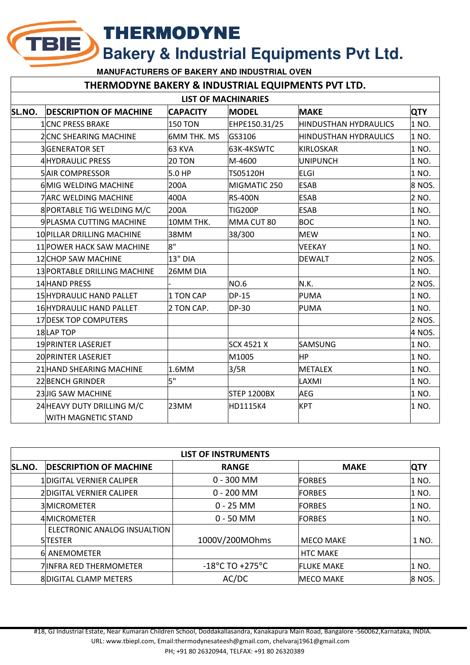THERMODYNE

**TBIE)** 

**Bakery & Industrial Equipments Pvt Ltd.**

**MANUFACTURERS OF BAKERY AND INDUSTRIAL OVEN**

#### THERMODYNE BAKERY & INDUSTRIAL EQUIPMENTS PVT LTD.

| <b>LIST OF MACHINARIES</b> |                                 |                    |                   |                              |            |  |  |  |
|----------------------------|---------------------------------|--------------------|-------------------|------------------------------|------------|--|--|--|
| SL.NO.                     | <b>DESCRIPTION OF MACHINE</b>   | <b>CAPACITY</b>    | <b>MODEL</b>      | <b>MAKE</b>                  | <b>QTY</b> |  |  |  |
|                            | <b>1CNC PRESS BRAKE</b>         | <b>150 TON</b>     | EHPE150.31/25     | <b>HINDUSTHAN HYDRAULICS</b> | 1 NO.      |  |  |  |
|                            | 2 CNC SHEARING MACHINE          | <b>6MM THK. MS</b> | GS3106            | <b>HINDUSTHAN HYDRAULICS</b> | 1 NO.      |  |  |  |
|                            | <b>3GENERATOR SET</b>           | 63 KVA             | 63K-4KSWTC        | <b>KIRLOSKAR</b>             | 1 NO.      |  |  |  |
|                            | <b>4 HYDRAULIC PRESS</b>        | 20 TON             | M-4600            | <b>UNIPUNCH</b>              | 1 NO.      |  |  |  |
|                            | <b>5 AIR COMPRESSOR</b>         | 5.0 HP             | TS05120H          | <b>ELGI</b>                  | 1 NO.      |  |  |  |
|                            | 6 MIG WELDING MACHINE           | 200A               | MIGMATIC 250      | <b>ESAB</b>                  | 8 NOS.     |  |  |  |
|                            | <b>7 ARC WELDING MACHINE</b>    | 400A               | <b>RS-400N</b>    | <b>ESAB</b>                  | 2 NO.      |  |  |  |
|                            | 8 PORTABLE TIG WELDING M/C      | 200A               | <b>TIG200P</b>    | <b>ESAB</b>                  | 1 NO.      |  |  |  |
|                            | 9 PLASMA CUTTING MACHINE        | 10MM THK.          | MMA CUT 80        | <b>BOC</b>                   | 1 NO.      |  |  |  |
|                            | 10 PILLAR DRILLING MACHINE      | 38MM               | 38/300            | <b>MEW</b>                   | 1 NO.      |  |  |  |
|                            | 11 POWER HACK SAW MACHINE       | 8"                 |                   | <b>VEEKAY</b>                | 1 NO.      |  |  |  |
|                            | 12 CHOP SAW MACHINE             | 13" DIA            |                   | <b>DEWALT</b>                | 2 NOS.     |  |  |  |
|                            | 13 PORTABLE DRILLING MACHINE    | 26MM DIA           |                   |                              | 1 NO.      |  |  |  |
|                            | 14 HAND PRESS                   |                    | <b>NO.6</b>       | N.K.                         | 2 NOS.     |  |  |  |
|                            | <b>15 HYDRAULIC HAND PALLET</b> | 1 TON CAP          | <b>DP-15</b>      | <b>PUMA</b>                  | 1 NO.      |  |  |  |
|                            | 16 HYDRAULIC HAND PALLET        | 2 TON CAP.         | <b>DP-30</b>      | <b>PUMA</b>                  | 1 NO.      |  |  |  |
|                            | 17 DESK TOP COMPUTERS           |                    |                   |                              | 2 NOS.     |  |  |  |
|                            | 18LAP TOP                       |                    |                   |                              | 4 NOS.     |  |  |  |
|                            | 19 PRINTER LASERJET             |                    | <b>SCX 4521 X</b> | <b>SAMSUNG</b>               | 1 NO.      |  |  |  |
|                            | 20 PRINTER LASERJET             |                    | M1005             | <b>HP</b>                    | 1 NO.      |  |  |  |
|                            | 21 HAND SHEARING MACHINE        | 1.6MM              | 3/5R              | <b>METALEX</b>               | 1 NO.      |  |  |  |
|                            | <b>22 BENCH GRINDER</b>         | 5"                 |                   | LAXMI                        | 1 NO.      |  |  |  |
|                            | 23JIG SAW MACHINE               |                    | STEP 1200BX       | <b>AEG</b>                   | 1 NO.      |  |  |  |
|                            | 24 HEAVY DUTY DRILLING M/C      | 23MM               | HD1115K4          | <b>KPT</b>                   | 1 NO.      |  |  |  |
|                            | <b>WITH MAGNETIC STAND</b>      |                    |                   |                              |            |  |  |  |

| <b>LIST OF INSTRUMENTS</b> |                                |                                     |                   |            |  |  |  |
|----------------------------|--------------------------------|-------------------------------------|-------------------|------------|--|--|--|
| SL.NO.                     | <b>DESCRIPTION OF MACHINE</b>  | <b>RANGE</b>                        | <b>MAKE</b>       | <b>QTY</b> |  |  |  |
|                            | 1DIGITAL VERNIER CALIPER       | $0 - 300$ MM                        | <b>FORBES</b>     | 1 NO.      |  |  |  |
|                            | 2DIGITAL VERNIER CALIPER       | $0 - 200$ MM                        | <b>FORBES</b>     | 1 NO.      |  |  |  |
|                            | <b>3MICROMETER</b>             | $0 - 25$ MM                         | <b>FORBES</b>     | 1 NO.      |  |  |  |
|                            | 4 MICROMETER                   | $0 - 50$ MM                         | <b>FORBES</b>     | 1 NO.      |  |  |  |
|                            | ELECTRONIC ANALOG INSUALTION   |                                     |                   |            |  |  |  |
|                            | <b>SITESTER</b>                | 1000V/200MOhms                      | <b>MECO MAKE</b>  | 1 NO.      |  |  |  |
|                            | 6 ANEMOMETER                   |                                     | <b>HTC MAKE</b>   |            |  |  |  |
|                            | <b>7 INFRA RED THERMOMETER</b> | $-18^{\circ}$ C TO $+275^{\circ}$ C | <b>FLUKE MAKE</b> | 1 NO.      |  |  |  |
|                            | <b>8DIGITAL CLAMP METERS</b>   | AC/DC                               | <b>MECO MAKE</b>  | 8 NOS.     |  |  |  |

#18, GJ Industrial Estate, Near Kumaran Children School, Doddakallasandra, Kanakapura Main Road, Bangalore -560062,Karnataka, INDIA.

URL: www.tbiepl.com, Email:thermodynesateesh@gmail.com, chelvaraj1961@gmail.com